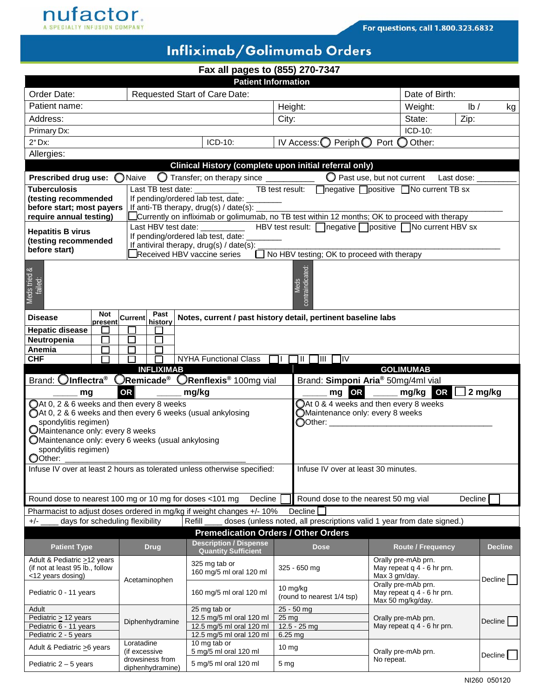

## Infliximab/Golimumab Orders

|  |  |  |  | Fax all pages to (855) 270-7347 |
|--|--|--|--|---------------------------------|
|--|--|--|--|---------------------------------|

| <b>Patient Information</b>                              |                   |                                                    |                                                                                          |                                                                                               |                                                   |                |  |
|---------------------------------------------------------|-------------------|----------------------------------------------------|------------------------------------------------------------------------------------------|-----------------------------------------------------------------------------------------------|---------------------------------------------------|----------------|--|
| Order Date:                                             |                   |                                                    | Requested Start of Care Date:                                                            |                                                                                               |                                                   | Date of Birth: |  |
| Patient name:                                           |                   |                                                    |                                                                                          | Height:                                                                                       | Weight:                                           | lb/<br>kg      |  |
| Address:                                                |                   |                                                    |                                                                                          | City:                                                                                         | State:                                            | Zip:           |  |
| Primary Dx:                                             |                   |                                                    | ICD-10:                                                                                  |                                                                                               |                                                   |                |  |
| $2°$ Dx:                                                |                   |                                                    | ICD-10:                                                                                  | Periph $\bigcirc$<br>IV Access: O                                                             | Port ◯ Other:                                     |                |  |
| Allergies:                                              |                   |                                                    |                                                                                          |                                                                                               |                                                   |                |  |
|                                                         |                   |                                                    |                                                                                          | Clinical History (complete upon initial referral only)                                        |                                                   |                |  |
| Prescribed drug use: O Naive                            |                   |                                                    | Transfer; on therapy since __________                                                    |                                                                                               | $\bigcirc$ Past use, but not current              | Last dose:     |  |
| <b>Tuberculosis</b>                                     |                   | Last TB test date:                                 |                                                                                          | TB test result: negative positive No current TB sx                                            |                                                   |                |  |
| (testing recommended                                    |                   |                                                    | If pending/ordered lab test, date: ___                                                   |                                                                                               |                                                   |                |  |
| before start; most payers<br>require annual testing)    |                   |                                                    | If anti-TB therapy, drug(s) / date(s): $\overline{\phantom{a}}$                          | Currently on infliximab or golimumab, no TB test within 12 months; OK to proceed with therapy |                                                   |                |  |
|                                                         |                   |                                                    | Last HBV test date: __________                                                           | HBV test result: negative positive no current HBV sx                                          |                                                   |                |  |
| <b>Hepatitis B virus</b>                                |                   |                                                    | If pending/ordered lab test, date:                                                       |                                                                                               |                                                   |                |  |
| (testing recommended<br>before start)                   |                   |                                                    | If antiviral therapy, drug(s) / date(s):                                                 |                                                                                               |                                                   |                |  |
|                                                         |                   |                                                    | Received HBV vaccine series                                                              | No HBV testing; OK to proceed with therapy                                                    |                                                   |                |  |
|                                                         |                   |                                                    |                                                                                          |                                                                                               |                                                   |                |  |
| failed:                                                 |                   |                                                    |                                                                                          |                                                                                               |                                                   |                |  |
| Meds tried &                                            |                   |                                                    |                                                                                          | contraindicated:                                                                              |                                                   |                |  |
|                                                         |                   |                                                    |                                                                                          |                                                                                               |                                                   |                |  |
| <b>Disease</b>                                          | Not               | Past<br><b>Current</b>                             |                                                                                          | Notes, current / past history detail, pertinent baseline labs                                 |                                                   |                |  |
| <b>Hepatic disease</b>                                  | present<br>$\sim$ | history                                            |                                                                                          |                                                                                               |                                                   |                |  |
| Neutropenia                                             | $\Box$            | $\Box$                                             |                                                                                          |                                                                                               |                                                   |                |  |
| Anemia                                                  | H                 | П                                                  |                                                                                          |                                                                                               |                                                   |                |  |
| <b>CHF</b>                                              | П                 |                                                    | <b>NYHA Functional Class</b>                                                             | ]III □IV                                                                                      |                                                   |                |  |
| <b>INFLIXIMAB</b><br><b>GOLIMUMAB</b>                   |                   |                                                    |                                                                                          |                                                                                               |                                                   |                |  |
|                                                         |                   |                                                    |                                                                                          |                                                                                               |                                                   |                |  |
|                                                         |                   |                                                    | Brand: OInflectra <sup>®</sup> ORemicade <sup>®</sup> ORenflexis <sup>®</sup> 100mg vial |                                                                                               | Brand: Simponi Aria® 50mg/4ml vial                |                |  |
| mg                                                      |                   | <b>OR</b>                                          | mg/kg                                                                                    | mg OR                                                                                         | mg/kg OR                                          | 2 mg/kg        |  |
| OAt 0, 2 & 6 weeks and then every 8 weeks               |                   |                                                    |                                                                                          |                                                                                               | $\bigcirc$ At 0 & 4 weeks and then every 8 weeks  |                |  |
| spondylitis regimen)                                    |                   |                                                    | OAt 0, 2 & 6 weeks and then every 6 weeks (usual ankylosing                              | Maintenance only: every 8 weeks<br>◯ Other: __________                                        |                                                   |                |  |
| OMaintenance only: every 8 weeks                        |                   |                                                    |                                                                                          |                                                                                               |                                                   |                |  |
|                                                         |                   | OMaintenance only: every 6 weeks (usual ankylosing |                                                                                          |                                                                                               |                                                   |                |  |
| spondylitis regimen)                                    |                   |                                                    |                                                                                          |                                                                                               |                                                   |                |  |
| OOther:                                                 |                   |                                                    |                                                                                          |                                                                                               |                                                   |                |  |
|                                                         |                   |                                                    | Infuse IV over at least 2 hours as tolerated unless otherwise specified:                 | Infuse IV over at least 30 minutes.                                                           |                                                   |                |  |
|                                                         |                   |                                                    |                                                                                          |                                                                                               |                                                   |                |  |
| Round dose to nearest 100 mg or 10 mg for doses <101 mg |                   |                                                    | Decline                                                                                  | Round dose to the nearest 50 mg vial                                                          |                                                   | Decline        |  |
|                                                         |                   |                                                    | Pharmacist to adjust doses ordered in mg/kg if weight changes +/- 10%                    | Decline <sup>[</sup>                                                                          |                                                   |                |  |
| $+/-$                                                   |                   | days for scheduling flexibility                    | Refill                                                                                   | doses (unless noted, all prescriptions valid 1 year from date signed.)                        |                                                   |                |  |
|                                                         |                   |                                                    |                                                                                          | <b>Premedication Orders / Other Orders</b>                                                    |                                                   |                |  |
| <b>Patient Type</b>                                     |                   | <b>Drug</b>                                        | <b>Description / Dispense</b>                                                            | <b>Dose</b>                                                                                   | <b>Route / Frequency</b>                          | <b>Decline</b> |  |
| Adult & Pediatric >12 years                             |                   |                                                    | <b>Quantity Sufficient</b>                                                               |                                                                                               | Orally pre-mAb prn.                               |                |  |
| (if not at least 95 lb., follow                         |                   |                                                    | 325 mg tab or<br>160 mg/5 ml oral 120 ml                                                 | 325 - 650 mg                                                                                  | May repeat q 4 - 6 hr prn.                        |                |  |
| <12 years dosing)                                       |                   | Acetaminophen                                      |                                                                                          |                                                                                               | Max 3 gm/day.                                     | Decline        |  |
| Pediatric 0 - 11 years                                  |                   |                                                    | 160 mg/5 ml oral 120 ml                                                                  | 10 mg/kg<br>(round to nearest 1/4 tsp)                                                        | Orally pre-mAb prn.<br>May repeat q 4 - 6 hr prn. |                |  |
|                                                         |                   |                                                    |                                                                                          |                                                                                               | Max 50 mg/kg/day.                                 |                |  |
| Adult<br>Pediatric $\geq$ 12 years                      |                   |                                                    | 25 mg tab or<br>12.5 mg/5 ml oral 120 ml                                                 | 25 - 50 mg<br>$25 \,\mathrm{mg}$                                                              | Orally pre-mAb prn.                               |                |  |
| Pediatric 6 - 11 years                                  |                   | Diphenhydramine                                    | 12.5 mg/5 ml oral 120 ml                                                                 | $12.5 - 25$ mg                                                                                | May repeat q 4 - 6 hr prn.                        | Decline        |  |
| Pediatric 2 - 5 years                                   |                   |                                                    | 12.5 mg/5 ml oral 120 ml                                                                 | $6.25$ mg                                                                                     |                                                   |                |  |
| Adult & Pediatric > 6 years                             |                   | Loratadine<br>(if excessive<br>drowsiness from     | 10 mg tab or<br>5 mg/5 ml oral 120 ml                                                    | 10 <sub>mg</sub>                                                                              | Orally pre-mAb prn.<br>No repeat.                 | Decline L      |  |